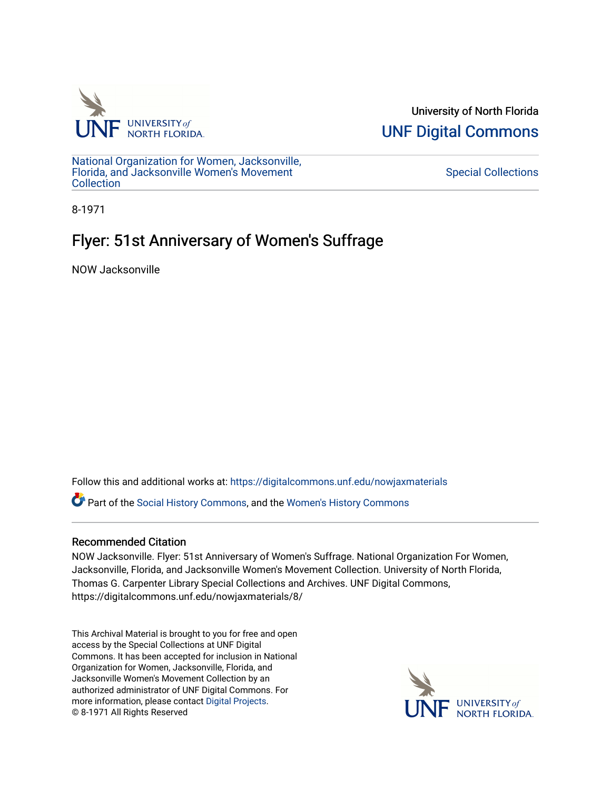

University of North Florida [UNF Digital Commons](https://digitalcommons.unf.edu/) 

[National Organization for Women, Jacksonville,](https://digitalcommons.unf.edu/nowjaxmaterials) [Florida, and Jacksonville Women's Movement](https://digitalcommons.unf.edu/nowjaxmaterials) [Collection](https://digitalcommons.unf.edu/nowjaxmaterials) 

[Special Collections](https://digitalcommons.unf.edu/special_collections) 

8-1971

## Flyer: 51st Anniversary of Women's Suffrage

NOW Jacksonville

Follow this and additional works at: [https://digitalcommons.unf.edu/nowjaxmaterials](https://digitalcommons.unf.edu/nowjaxmaterials?utm_source=digitalcommons.unf.edu%2Fnowjaxmaterials%2F8&utm_medium=PDF&utm_campaign=PDFCoverPages) 

Part of the [Social History Commons](http://network.bepress.com/hgg/discipline/506?utm_source=digitalcommons.unf.edu%2Fnowjaxmaterials%2F8&utm_medium=PDF&utm_campaign=PDFCoverPages), and the [Women's History Commons](http://network.bepress.com/hgg/discipline/507?utm_source=digitalcommons.unf.edu%2Fnowjaxmaterials%2F8&utm_medium=PDF&utm_campaign=PDFCoverPages)

## Recommended Citation

NOW Jacksonville. Flyer: 51st Anniversary of Women's Suffrage. National Organization For Women, Jacksonville, Florida, and Jacksonville Women's Movement Collection. University of North Florida, Thomas G. Carpenter Library Special Collections and Archives. UNF Digital Commons, https://digitalcommons.unf.edu/nowjaxmaterials/8/

This Archival Material is brought to you for free and open access by the Special Collections at UNF Digital Commons. It has been accepted for inclusion in National Organization for Women, Jacksonville, Florida, and Jacksonville Women's Movement Collection by an authorized administrator of UNF Digital Commons. For more information, please contact [Digital Projects](mailto:lib-digital@unf.edu). © 8-1971 All Rights Reserved

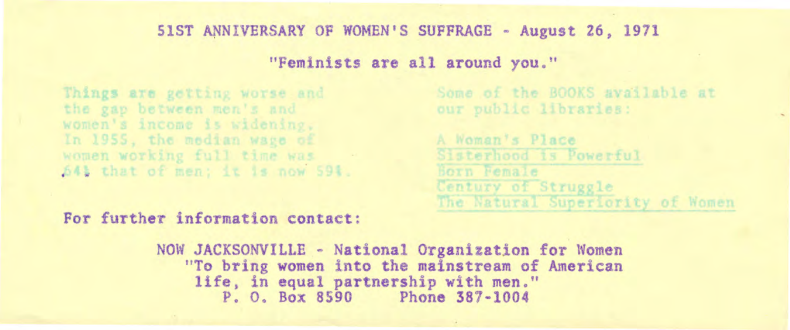## 51ST ANNIVERSARY OF WOMEN•s SUFFRAGE - August 26, 1971

"Feminists are all around you."

Things are getting worse and the gap between men's and women's income is widening. In 1955, the median wage of women working full time was 54% that of men; it is now 59%. Some of the BOOKS available at our public libraries:

A Woman's Place Sisterhood is Powerful Born Female Century of Struggle The Natural Superiority of Women

For further information contact:

NOW JACKSONVILLE - National Organization for Women "To bring women into the mainstream of American life, in equal partnership with men." P. o. Box 8590 Phone 387-1004